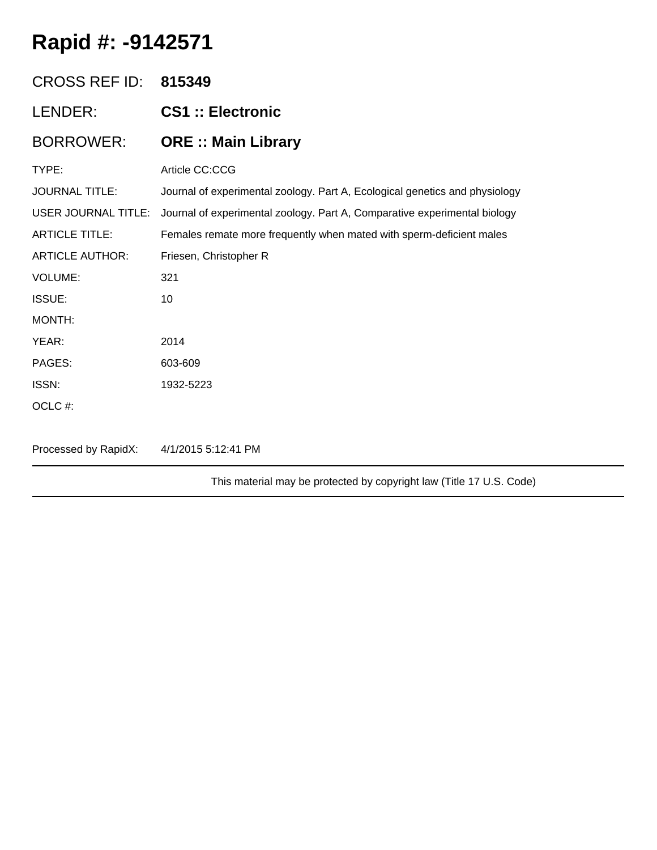# **Rapid #: -9142571**

| <b>CROSS REF ID:</b>       | 815349                                                                      |
|----------------------------|-----------------------------------------------------------------------------|
| LENDER:                    | <b>CS1 :: Electronic</b>                                                    |
| <b>BORROWER:</b>           | <b>ORE :: Main Library</b>                                                  |
| TYPE:                      | Article CC:CCG                                                              |
| <b>JOURNAL TITLE:</b>      | Journal of experimental zoology. Part A, Ecological genetics and physiology |
| <b>USER JOURNAL TITLE:</b> | Journal of experimental zoology. Part A, Comparative experimental biology   |
| <b>ARTICLE TITLE:</b>      | Females remate more frequently when mated with sperm-deficient males        |
| <b>ARTICLE AUTHOR:</b>     | Friesen, Christopher R                                                      |
| <b>VOLUME:</b>             | 321                                                                         |
| ISSUE:                     | 10                                                                          |
| MONTH:                     |                                                                             |
| YEAR:                      | 2014                                                                        |
| PAGES:                     | 603-609                                                                     |
| ISSN:                      | 1932-5223                                                                   |
| OCLC #:                    |                                                                             |
| Processed by RapidX:       | 4/1/2015 5:12:41 PM                                                         |
|                            |                                                                             |

This material may be protected by copyright law (Title 17 U.S. Code)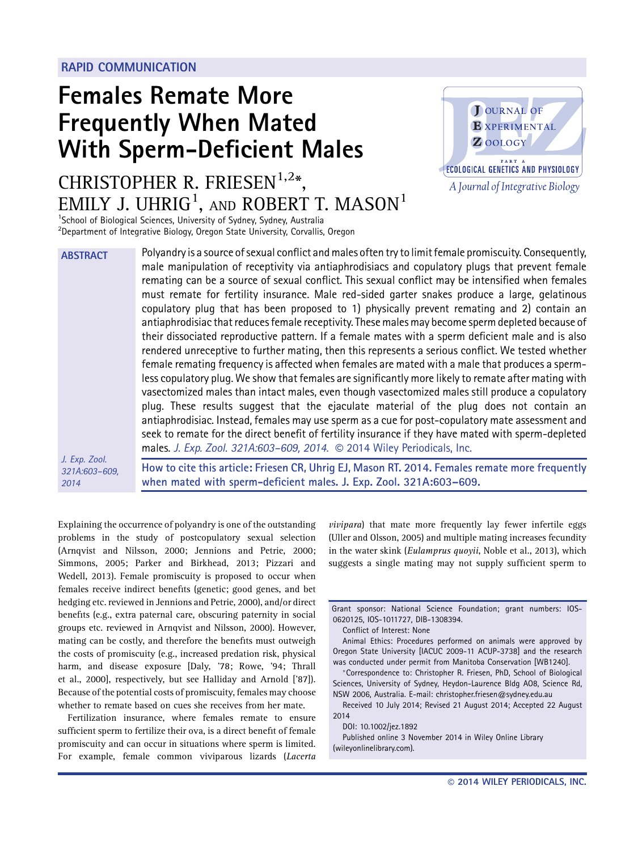RAPID COMMUNICATION

# Females Remate More Frequently When Mated With Sperm‐Deficient Males



# CHRISTOPHER R. FRIESEN<sup>1,2\*</sup>  $\mathrm{EMILY}$  J. UHRIG<sup>1</sup>, and ROBERT T. MASON<sup>1</sup>

<sup>1</sup>School of Biological Sciences, University of Sydney, Sydney, Australia <sup>2</sup>Department of Integrative Biology, Oregon State University, Corvallis, Oregon

ABSTRACT Polyandry is a source of sexual conflict and males often try to limit female promiscuity. Consequently, male manipulation of receptivity via antiaphrodisiacs and copulatory plugs that prevent female remating can be a source of sexual conflict. This sexual conflict may be intensified when females must remate for fertility insurance. Male red-sided garter snakes produce a large, gelatinous copulatory plug that has been proposed to 1) physically prevent remating and 2) contain an antiaphrodisiac that reduces female receptivity. These males may become sperm depleted because of their dissociated reproductive pattern. If a female mates with a sperm deficient male and is also rendered unreceptive to further mating, then this represents a serious conflict. We tested whether female remating frequency is affected when females are mated with a male that produces a sperm‐ less copulatory plug. We show that females are significantly more likely to remate after mating with vasectomized males than intact males, even though vasectomized males still produce a copulatory plug. These results suggest that the ejaculate material of the plug does not contain an antiaphrodisiac. Instead, females may use sperm as a cue for post‐copulatory mate assessment and seek to remate for the direct benefit of fertility insurance if they have mated with sperm‐depleted males. J. Exp. Zool. 321A:603–609, 2014. © 2014 Wiley Periodicals, Inc. J. Exp. Zool.

321A:603–609, 2014

How to cite this article: Friesen CR, Uhrig EJ, Mason RT. 2014. Females remate more frequently when mated with sperm‐deficient males. J. Exp. Zool. 321A:603–609.

Explaining the occurrence of polyandry is one of the outstanding problems in the study of postcopulatory sexual selection (Arnqvist and Nilsson, 2000; Jennions and Petrie, 2000; Simmons, 2005; Parker and Birkhead, 2013; Pizzari and Wedell, 2013). Female promiscuity is proposed to occur when females receive indirect benefits (genetic; good genes, and bet hedging etc. reviewed in Jennions and Petrie, 2000), and/or direct benefits (e.g., extra paternal care, obscuring paternity in social groups etc. reviewed in Arnqvist and Nilsson, 2000). However, mating can be costly, and therefore the benefits must outweigh the costs of promiscuity (e.g., increased predation risk, physical harm, and disease exposure [Daly, '78; Rowe, '94; Thrall et al., 2000], respectively, but see Halliday and Arnold ['87]). Because of the potential costs of promiscuity, females may choose whether to remate based on cues she receives from her mate.

Fertilization insurance, where females remate to ensure sufficient sperm to fertilize their ova, is a direct benefit of female promiscuity and can occur in situations where sperm is limited. For example, female common viviparous lizards (Lacerta

vivipara) that mate more frequently lay fewer infertile eggs (Uller and Olsson, 2005) and multiple mating increases fecundity in the water skink (Eulamprus quoyii, Noble et al., 2013), which suggests a single mating may not supply sufficient sperm to

Grant sponsor: National Science Foundation; grant numbers: IOS-0620125, IOS-1011727, DIB-1308394.

Animal Ethics: Procedures performed on animals were approved by Oregon State University [IACUC 2009‐11 ACUP‐3738] and the research was conducted under permit from Manitoba Conservation [WB1240].

Correspondence to: Christopher R. Friesen, PhD, School of Biological Sciences, University of Sydney, Heydon‐Laurence Bldg AO8, Science Rd, NSW 2006, Australia. E-mail: christopher.friesen@sydney.edu.au

Received 10 July 2014; Revised 21 August 2014; Accepted 22 August 2014

DOI: 10.1002/jez.1892

Published online 3 November 2014 in Wiley Online Library (wileyonlinelibrary.com).

Conflict of Interest: None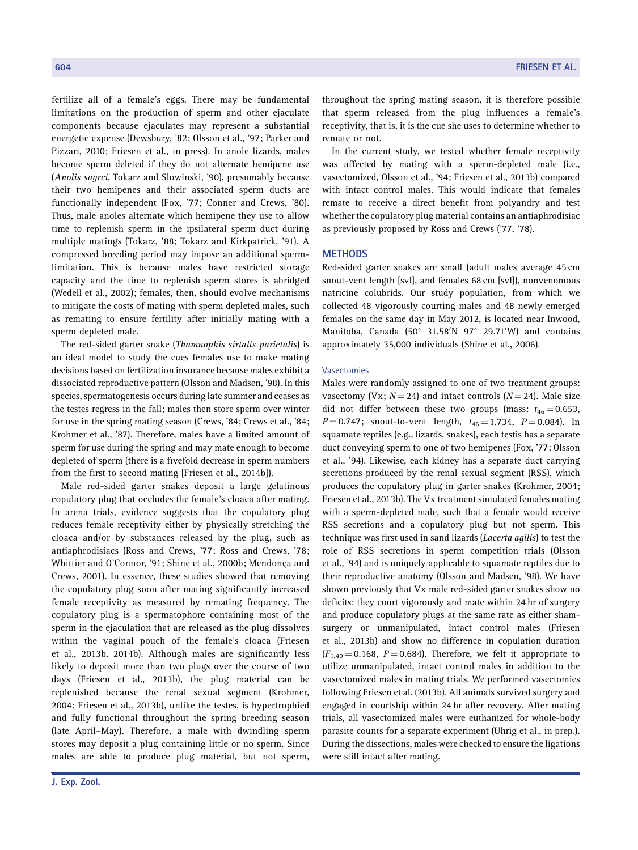fertilize all of a female's eggs. There may be fundamental limitations on the production of sperm and other ejaculate components because ejaculates may represent a substantial energetic expense (Dewsbury, '82; Olsson et al., '97; Parker and Pizzari, 2010; Friesen et al., in press). In anole lizards, males become sperm deleted if they do not alternate hemipene use (Anolis sagrei, Tokarz and Slowinski, '90), presumably because their two hemipenes and their associated sperm ducts are functionally independent (Fox, '77; Conner and Crews, '80). Thus, male anoles alternate which hemipene they use to allow time to replenish sperm in the ipsilateral sperm duct during multiple matings (Tokarz, '88; Tokarz and Kirkpatrick, '91). A compressed breeding period may impose an additional sperm‐ limitation. This is because males have restricted storage capacity and the time to replenish sperm stores is abridged (Wedell et al., 2002); females, then, should evolve mechanisms to mitigate the costs of mating with sperm depleted males, such as remating to ensure fertility after initially mating with a sperm depleted male.

The red‐sided garter snake (Thamnophis sirtalis parietalis) is an ideal model to study the cues females use to make mating decisions based on fertilization insurance because males exhibit a dissociated reproductive pattern (Olsson and Madsen, '98). In this species, spermatogenesis occurs during late summer and ceases as the testes regress in the fall; males then store sperm over winter for use in the spring mating season (Crews, '84; Crews et al., '84; Krohmer et al., '87). Therefore, males have a limited amount of sperm for use during the spring and may mate enough to become depleted of sperm (there is a fivefold decrease in sperm numbers from the first to second mating [Friesen et al., 2014b]).

Male red‐sided garter snakes deposit a large gelatinous copulatory plug that occludes the female's cloaca after mating. In arena trials, evidence suggests that the copulatory plug reduces female receptivity either by physically stretching the cloaca and/or by substances released by the plug, such as antiaphrodisiacs (Ross and Crews, '77; Ross and Crews, '78; Whittier and O'Connor, '91; Shine et al., 2000b; Mendonça and Crews, 2001). In essence, these studies showed that removing the copulatory plug soon after mating significantly increased female receptivity as measured by remating frequency. The copulatory plug is a spermatophore containing most of the sperm in the ejaculation that are released as the plug dissolves within the vaginal pouch of the female's cloaca (Friesen et al., 2013b, 2014b). Although males are significantly less likely to deposit more than two plugs over the course of two days (Friesen et al., 2013b), the plug material can be replenished because the renal sexual segment (Krohmer, 2004; Friesen et al., 2013b), unlike the testes, is hypertrophied and fully functional throughout the spring breeding season (late April–May). Therefore, a male with dwindling sperm stores may deposit a plug containing little or no sperm. Since males are able to produce plug material, but not sperm,

throughout the spring mating season, it is therefore possible that sperm released from the plug influences a female's receptivity, that is, it is the cue she uses to determine whether to remate or not.

In the current study, we tested whether female receptivity was affected by mating with a sperm‐depleted male (i.e., vasectomized, Olsson et al., '94; Friesen et al., 2013b) compared with intact control males. This would indicate that females remate to receive a direct benefit from polyandry and test whether the copulatory plug material contains an antiaphrodisiac as previously proposed by Ross and Crews ('77, '78).

#### **METHODS**

Red‐sided garter snakes are small (adult males average 45 cm snout-vent length [svl], and females 68 cm [svl]), nonvenomous natricine colubrids. Our study population, from which we collected 48 vigorously courting males and 48 newly emerged females on the same day in May 2012, is located near Inwood, Manitoba, Canada (50° 31.58 $'$ N 97° 29.71 $'$ W) and contains approximately 35,000 individuals (Shine et al., 2006).

#### Vasectomies

Males were randomly assigned to one of two treatment groups: vasectomy (Vx;  $N = 24$ ) and intact controls ( $N = 24$ ). Male size did not differ between these two groups (mass:  $t_{46} = 0.653$ ,  $P = 0.747$ ; snout-to-vent length,  $t_{46} = 1.734$ ,  $P = 0.084$ ). In squamate reptiles (e.g., lizards, snakes), each testis has a separate duct conveying sperm to one of two hemipenes (Fox, '77; Olsson et al., '94). Likewise, each kidney has a separate duct carrying secretions produced by the renal sexual segment (RSS), which produces the copulatory plug in garter snakes (Krohmer, 2004; Friesen et al., 2013b). The Vx treatment simulated females mating with a sperm‐depleted male, such that a female would receive RSS secretions and a copulatory plug but not sperm. This technique was first used in sand lizards (Lacerta agilis) to test the role of RSS secretions in sperm competition trials (Olsson et al., '94) and is uniquely applicable to squamate reptiles due to their reproductive anatomy (Olsson and Madsen, '98). We have shown previously that Vx male red‐sided garter snakes show no deficits: they court vigorously and mate within 24 hr of surgery and produce copulatory plugs at the same rate as either sham‐ surgery or unmanipulated, intact control males (Friesen et al., 2013b) and show no difference in copulation duration  $(F<sub>1.49</sub> = 0.168, P = 0.684)$ . Therefore, we felt it appropriate to utilize unmanipulated, intact control males in addition to the vasectomized males in mating trials. We performed vasectomies following Friesen et al. (2013b). All animals survived surgery and engaged in courtship within 24 hr after recovery. After mating trials, all vasectomized males were euthanized for whole‐body parasite counts for a separate experiment (Uhrig et al., in prep.). During the dissections, males were checked to ensure the ligations were still intact after mating.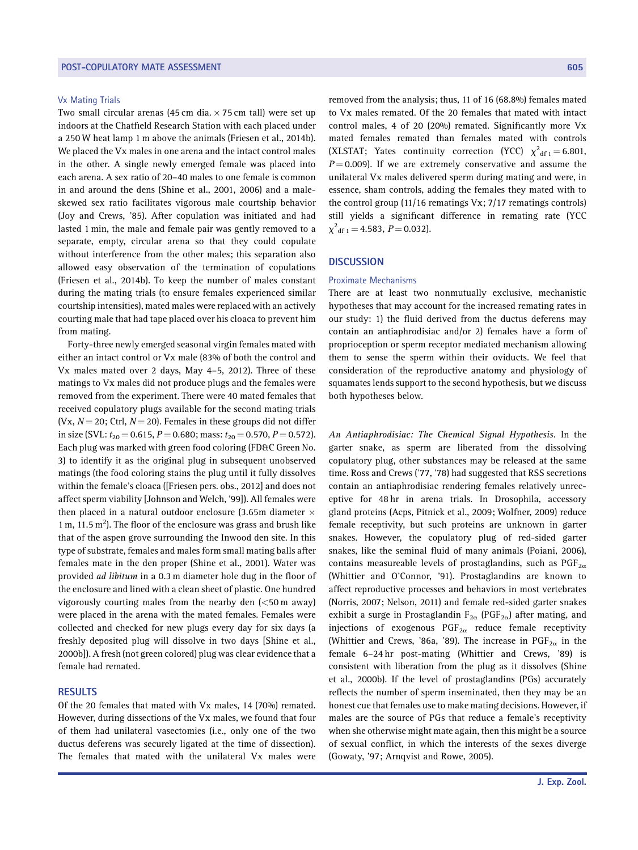#### POST–COPULATORY MATE ASSESSMENT **COPULATORY MATE ASSESSMENT**

# Vx Mating Trials

Two small circular arenas (45 cm dia.  $\times$  75 cm tall) were set up indoors at the Chatfield Research Station with each placed under a 250 W heat lamp 1 m above the animals (Friesen et al., 2014b). We placed the Vx males in one arena and the intact control males in the other. A single newly emerged female was placed into each arena. A sex ratio of 20–40 males to one female is common in and around the dens (Shine et al., 2001, 2006) and a maleskewed sex ratio facilitates vigorous male courtship behavior (Joy and Crews, '85). After copulation was initiated and had lasted 1 min, the male and female pair was gently removed to a separate, empty, circular arena so that they could copulate without interference from the other males; this separation also allowed easy observation of the termination of copulations (Friesen et al., 2014b). To keep the number of males constant during the mating trials (to ensure females experienced similar courtship intensities), mated males were replaced with an actively courting male that had tape placed over his cloaca to prevent him from mating.

Forty‐three newly emerged seasonal virgin females mated with either an intact control or Vx male (83% of both the control and Vx males mated over 2 days, May 4–5, 2012). Three of these matings to Vx males did not produce plugs and the females were removed from the experiment. There were 40 mated females that received copulatory plugs available for the second mating trials (Vx,  $N = 20$ ; Ctrl,  $N = 20$ ). Females in these groups did not differ in size (SVL:  $t_{20} = 0.615$ ,  $P = 0.680$ ; mass:  $t_{20} = 0.570$ ,  $P = 0.572$ ). Each plug was marked with green food coloring (FD&C Green No. 3) to identify it as the original plug in subsequent unobserved matings (the food coloring stains the plug until it fully dissolves within the female's cloaca ([Friesen pers. obs., 2012] and does not affect sperm viability [Johnson and Welch, '99]). All females were then placed in a natural outdoor enclosure (3.65m diameter  $\times$ 1 m,  $11.5 \text{ m}^2$ ). The floor of the enclosure was grass and brush like that of the aspen grove surrounding the Inwood den site. In this type of substrate, females and males form small mating balls after females mate in the den proper (Shine et al., 2001). Water was provided ad libitum in a 0.3 m diameter hole dug in the floor of the enclosure and lined with a clean sheet of plastic. One hundred vigorously courting males from the nearby den  $(<50 m$  away) were placed in the arena with the mated females. Females were collected and checked for new plugs every day for six days (a freshly deposited plug will dissolve in two days [Shine et al., 2000b]). A fresh (not green colored) plug was clear evidence that a female had remated.

## **RESULTS**

Of the 20 females that mated with Vx males, 14 (70%) remated. However, during dissections of the Vx males, we found that four of them had unilateral vasectomies (i.e., only one of the two ductus deferens was securely ligated at the time of dissection). The females that mated with the unilateral Vx males were

removed from the analysis; thus, 11 of 16 (68.8%) females mated to Vx males remated. Of the 20 females that mated with intact control males, 4 of 20 (20%) remated. Significantly more Vx mated females remated than females mated with controls (XLSTAT; Yates continuity correction (YCC)  $\chi^2_{\text{df }1} = 6.801$ ,  $P = 0.009$ ). If we are extremely conservative and assume the unilateral Vx males delivered sperm during mating and were, in essence, sham controls, adding the females they mated with to the control group (11/16 rematings Vx; 7/17 rematings controls) still yields a significant difference in remating rate (YCC  $\chi^2$ <sub>df 1</sub> = 4.583, *P* = 0.032).

### **DISCUSSION**

#### Proximate Mechanisms

There are at least two nonmutually exclusive, mechanistic hypotheses that may account for the increased remating rates in our study: 1) the fluid derived from the ductus deferens may contain an antiaphrodisiac and/or 2) females have a form of proprioception or sperm receptor mediated mechanism allowing them to sense the sperm within their oviducts. We feel that consideration of the reproductive anatomy and physiology of squamates lends support to the second hypothesis, but we discuss both hypotheses below.

An Antiaphrodisiac: The Chemical Signal Hypothesis. In the garter snake, as sperm are liberated from the dissolving copulatory plug, other substances may be released at the same time. Ross and Crews ('77, '78) had suggested that RSS secretions contain an antiaphrodisiac rendering females relatively unreceptive for 48 hr in arena trials. In Drosophila, accessory gland proteins (Acps, Pitnick et al., 2009; Wolfner, 2009) reduce female receptivity, but such proteins are unknown in garter snakes. However, the copulatory plug of red-sided garter snakes, like the seminal fluid of many animals (Poiani, 2006), contains measureable levels of prostaglandins, such as  $PGF_{2\alpha}$ (Whittier and O'Connor, '91). Prostaglandins are known to affect reproductive processes and behaviors in most vertebrates (Norris, 2007; Nelson, 2011) and female red‐sided garter snakes exhibit a surge in Prostaglandin  $F_{2\alpha}$  (PGF<sub>2 $\alpha$ </sub>) after mating, and injections of exogenous  $PGF_{2\alpha}$  reduce female receptivity (Whittier and Crews, '86a, '89). The increase in  $\mathrm{PGF}_{2\alpha}$  in the female 6-24 hr post-mating (Whittier and Crews, '89) is consistent with liberation from the plug as it dissolves (Shine et al., 2000b). If the level of prostaglandins (PGs) accurately reflects the number of sperm inseminated, then they may be an honest cue that females use to make mating decisions. However, if males are the source of PGs that reduce a female's receptivity when she otherwise might mate again, then this might be a source of sexual conflict, in which the interests of the sexes diverge (Gowaty, '97; Arnqvist and Rowe, 2005).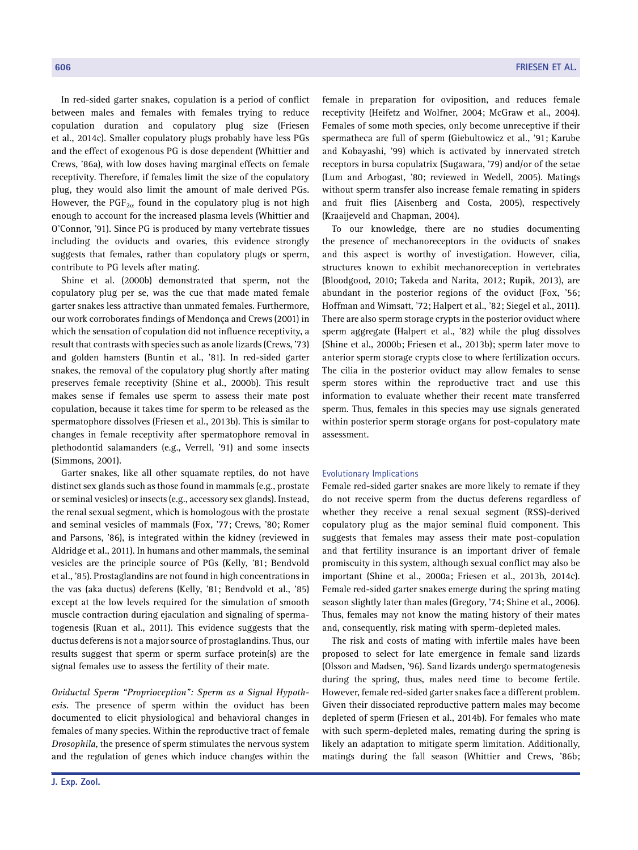In red‐sided garter snakes, copulation is a period of conflict between males and females with females trying to reduce copulation duration and copulatory plug size (Friesen et al., 2014c). Smaller copulatory plugs probably have less PGs and the effect of exogenous PG is dose dependent (Whittier and Crews, '86a), with low doses having marginal effects on female receptivity. Therefore, if females limit the size of the copulatory plug, they would also limit the amount of male derived PGs. However, the PGF<sub>2 $\alpha$ </sub> found in the copulatory plug is not high enough to account for the increased plasma levels (Whittier and O'Connor, '91). Since PG is produced by many vertebrate tissues including the oviducts and ovaries, this evidence strongly suggests that females, rather than copulatory plugs or sperm, contribute to PG levels after mating.

Shine et al. (2000b) demonstrated that sperm, not the copulatory plug per se, was the cue that made mated female garter snakes less attractive than unmated females. Furthermore, our work corroborates findings of Mendonça and Crews (2001) in which the sensation of copulation did not influence receptivity, a result that contrasts with species such as anole lizards (Crews, '73) and golden hamsters (Buntin et al., '81). In red‐sided garter snakes, the removal of the copulatory plug shortly after mating preserves female receptivity (Shine et al., 2000b). This result makes sense if females use sperm to assess their mate post copulation, because it takes time for sperm to be released as the spermatophore dissolves (Friesen et al., 2013b). This is similar to changes in female receptivity after spermatophore removal in plethodontid salamanders (e.g., Verrell, '91) and some insects (Simmons, 2001).

Garter snakes, like all other squamate reptiles, do not have distinct sex glands such as those found in mammals (e.g., prostate or seminal vesicles) or insects (e.g., accessory sex glands). Instead, the renal sexual segment, which is homologous with the prostate and seminal vesicles of mammals (Fox, '77; Crews, '80; Romer and Parsons, '86), is integrated within the kidney (reviewed in Aldridge et al., 2011). In humans and other mammals, the seminal vesicles are the principle source of PGs (Kelly, '81; Bendvold et al., '85). Prostaglandins are not found in high concentrations in the vas (aka ductus) deferens (Kelly, '81; Bendvold et al., '85) except at the low levels required for the simulation of smooth muscle contraction during ejaculation and signaling of spermatogenesis (Ruan et al., 2011). This evidence suggests that the ductus deferens is not a major source of prostaglandins. Thus, our results suggest that sperm or sperm surface protein(s) are the signal females use to assess the fertility of their mate.

Oviductal Sperm "Proprioception": Sperm as a Signal Hypothesis. The presence of sperm within the oviduct has been documented to elicit physiological and behavioral changes in females of many species. Within the reproductive tract of female Drosophila, the presence of sperm stimulates the nervous system and the regulation of genes which induce changes within the

female in preparation for oviposition, and reduces female receptivity (Heifetz and Wolfner, 2004; McGraw et al., 2004). Females of some moth species, only become unreceptive if their spermatheca are full of sperm (Giebultowicz et al., '91; Karube and Kobayashi, '99) which is activated by innervated stretch receptors in bursa copulatrix (Sugawara, '79) and/or of the setae (Lum and Arbogast, '80; reviewed in Wedell, 2005). Matings without sperm transfer also increase female remating in spiders and fruit flies (Aisenberg and Costa, 2005), respectively (Kraaijeveld and Chapman, 2004).

To our knowledge, there are no studies documenting the presence of mechanoreceptors in the oviducts of snakes and this aspect is worthy of investigation. However, cilia, structures known to exhibit mechanoreception in vertebrates (Bloodgood, 2010; Takeda and Narita, 2012; Rupik, 2013), are abundant in the posterior regions of the oviduct (Fox, '56; Hoffman and Wimsatt, '72; Halpert et al., '82; Siegel et al., 2011). There are also sperm storage crypts in the posterior oviduct where sperm aggregate (Halpert et al., '82) while the plug dissolves (Shine et al., 2000b; Friesen et al., 2013b); sperm later move to anterior sperm storage crypts close to where fertilization occurs. The cilia in the posterior oviduct may allow females to sense sperm stores within the reproductive tract and use this information to evaluate whether their recent mate transferred sperm. Thus, females in this species may use signals generated within posterior sperm storage organs for post-copulatory mate assessment.

#### Evolutionary Implications

Female red‐sided garter snakes are more likely to remate if they do not receive sperm from the ductus deferens regardless of whether they receive a renal sexual segment (RSS)-derived copulatory plug as the major seminal fluid component. This suggests that females may assess their mate post-copulation and that fertility insurance is an important driver of female promiscuity in this system, although sexual conflict may also be important (Shine et al., 2000a; Friesen et al., 2013b, 2014c). Female red-sided garter snakes emerge during the spring mating season slightly later than males (Gregory, '74; Shine et al., 2006). Thus, females may not know the mating history of their mates and, consequently, risk mating with sperm‐depleted males.

The risk and costs of mating with infertile males have been proposed to select for late emergence in female sand lizards (Olsson and Madsen, '96). Sand lizards undergo spermatogenesis during the spring, thus, males need time to become fertile. However, female red‐sided garter snakes face a different problem. Given their dissociated reproductive pattern males may become depleted of sperm (Friesen et al., 2014b). For females who mate with such sperm‐depleted males, remating during the spring is likely an adaptation to mitigate sperm limitation. Additionally, matings during the fall season (Whittier and Crews, '86b;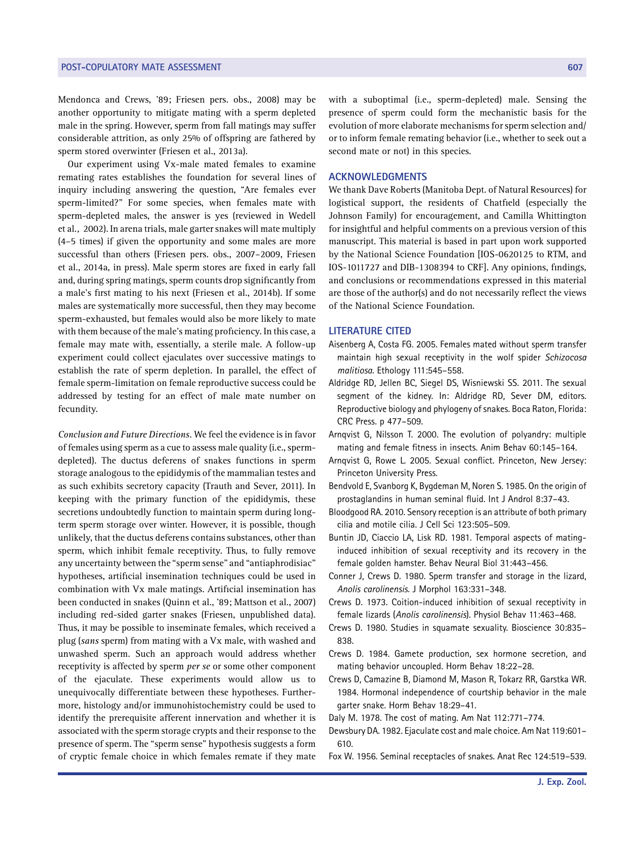### POST–COPULATORY MATE ASSESSMENT **COPULATORY MATE ASSESSMENT 607**

Mendonca and Crews, '89; Friesen pers. obs., 2008) may be another opportunity to mitigate mating with a sperm depleted male in the spring. However, sperm from fall matings may suffer considerable attrition, as only 25% of offspring are fathered by sperm stored overwinter (Friesen et al., 2013a).

Our experiment using Vx‐male mated females to examine remating rates establishes the foundation for several lines of inquiry including answering the question, "Are females ever sperm-limited?" For some species, when females mate with sperm‐depleted males, the answer is yes (reviewed in Wedell et al., 2002). In arena trials, male garter snakes will mate multiply (4–5 times) if given the opportunity and some males are more successful than others (Friesen pers. obs., 2007–2009, Friesen et al., 2014a, in press). Male sperm stores are fixed in early fall and, during spring matings, sperm counts drop significantly from a male's first mating to his next (Friesen et al., 2014b). If some males are systematically more successful, then they may become sperm‐exhausted, but females would also be more likely to mate with them because of the male's mating proficiency. In this case, a female may mate with, essentially, a sterile male. A follow‐up experiment could collect ejaculates over successive matings to establish the rate of sperm depletion. In parallel, the effect of female sperm‐limitation on female reproductive success could be addressed by testing for an effect of male mate number on fecundity.

Conclusion and Future Directions. We feel the evidence is in favor of females using sperm as a cue to assess male quality (i.e., sperm‐ depleted). The ductus deferens of snakes functions in sperm storage analogous to the epididymis of the mammalian testes and as such exhibits secretory capacity (Trauth and Sever, 2011). In keeping with the primary function of the epididymis, these secretions undoubtedly function to maintain sperm during longterm sperm storage over winter. However, it is possible, though unlikely, that the ductus deferens contains substances, other than sperm, which inhibit female receptivity. Thus, to fully remove any uncertainty between the "sperm sense" and "antiaphrodisiac" hypotheses, artificial insemination techniques could be used in combination with Vx male matings. Artificial insemination has been conducted in snakes (Quinn et al., '89; Mattson et al., 2007) including red‐sided garter snakes (Friesen, unpublished data). Thus, it may be possible to inseminate females, which received a plug (sans sperm) from mating with a Vx male, with washed and unwashed sperm. Such an approach would address whether receptivity is affected by sperm per se or some other component of the ejaculate. These experiments would allow us to unequivocally differentiate between these hypotheses. Furthermore, histology and/or immunohistochemistry could be used to identify the prerequisite afferent innervation and whether it is associated with the sperm storage crypts and their response to the presence of sperm. The "sperm sense" hypothesis suggests a form of cryptic female choice in which females remate if they mate

with a suboptimal (i.e., sperm‐depleted) male. Sensing the presence of sperm could form the mechanistic basis for the evolution of more elaborate mechanisms for sperm selection and/ or to inform female remating behavior (i.e., whether to seek out a second mate or not) in this species.

# ACKNOWLEDGMENTS

We thank Dave Roberts (Manitoba Dept. of Natural Resources) for logistical support, the residents of Chatfield (especially the Johnson Family) for encouragement, and Camilla Whittington for insightful and helpful comments on a previous version of this manuscript. This material is based in part upon work supported by the National Science Foundation [IOS‐0620125 to RTM, and IOS‐1011727 and DIB‐1308394 to CRF]. Any opinions, findings, and conclusions or recommendations expressed in this material are those of the author(s) and do not necessarily reflect the views of the National Science Foundation.

## LITERATURE CITED

- Aisenberg A, Costa FG. 2005. Females mated without sperm transfer maintain high sexual receptivity in the wolf spider Schizocosa malitiosa. Ethology 111:545–558.
- Aldridge RD, Jellen BC, Siegel DS, Wisniewski SS. 2011. The sexual segment of the kidney. In: Aldridge RD, Sever DM, editors. Reproductive biology and phylogeny of snakes. Boca Raton, Florida: CRC Press. p 477–509.
- Arnqvist G, Nilsson T. 2000. The evolution of polyandry: multiple mating and female fitness in insects. Anim Behav 60:145–164.
- Arnqvist G, Rowe L. 2005. Sexual conflict. Princeton, New Jersey: Princeton University Press.
- Bendvold E, Svanborg K, Bygdeman M, Noren S. 1985. On the origin of prostaglandins in human seminal fluid. Int J Androl 8:37–43.
- Bloodgood RA. 2010. Sensory reception is an attribute of both primary cilia and motile cilia. J Cell Sci 123:505–509.
- Buntin JD, Ciaccio LA, Lisk RD. 1981. Temporal aspects of mating‐ induced inhibition of sexual receptivity and its recovery in the female golden hamster. Behav Neural Biol 31:443–456.
- Conner J, Crews D. 1980. Sperm transfer and storage in the lizard, Anolis carolinensis. J Morphol 163:331–348.
- Crews D. 1973. Coition‐induced inhibition of sexual receptivity in female lizards (Anolis carolinensis). Physiol Behav 11:463–468.
- Crews D. 1980. Studies in squamate sexuality. Bioscience 30:835– 838.
- Crews D. 1984. Gamete production, sex hormone secretion, and mating behavior uncoupled. Horm Behav 18:22–28.
- Crews D, Camazine B, Diamond M, Mason R, Tokarz RR, Garstka WR. 1984. Hormonal independence of courtship behavior in the male garter snake. Horm Behav 18:29–41.
- Daly M. 1978. The cost of mating. Am Nat 112:771–774.
- Dewsbury DA. 1982. Ejaculate cost and male choice. Am Nat 119:601– 610.
- Fox W. 1956. Seminal receptacles of snakes. Anat Rec 124:519–539.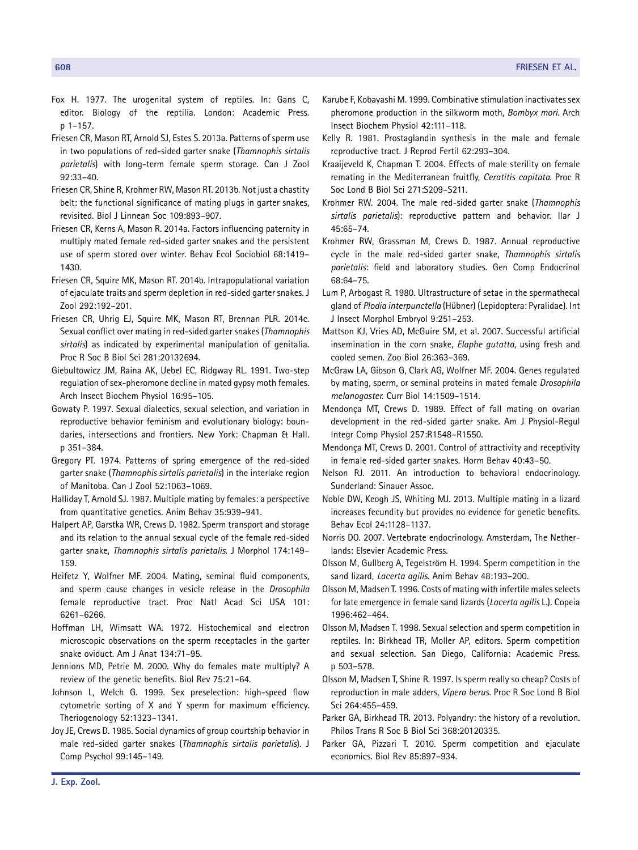- Fox H. 1977. The urogenital system of reptiles. In: Gans C, editor. Biology of the reptilia. London: Academic Press. p 1–157.
- Friesen CR, Mason RT, Arnold SJ, Estes S. 2013a. Patterns of sperm use in two populations of red-sided garter snake (Thamnophis sirtalis parietalis) with long-term female sperm storage. Can J Zool 92:33–40.
- Friesen CR, Shine R, Krohmer RW, Mason RT. 2013b. Not just a chastity belt: the functional significance of mating plugs in garter snakes, revisited. Biol J Linnean Soc 109:893–907.
- Friesen CR, Kerns A, Mason R. 2014a. Factors influencing paternity in multiply mated female red‐sided garter snakes and the persistent use of sperm stored over winter. Behav Ecol Sociobiol 68:1419– 1430.
- Friesen CR, Squire MK, Mason RT. 2014b. Intrapopulational variation of ejaculate traits and sperm depletion in red‐sided garter snakes. J Zool 292:192–201.
- Friesen CR, Uhrig EJ, Squire MK, Mason RT, Brennan PLR. 2014c. Sexual conflict over mating in red‐sided garter snakes (Thamnophis sirtalis) as indicated by experimental manipulation of genitalia. Proc R Soc B Biol Sci 281:20132694.
- Giebultowicz JM, Raina AK, Uebel EC, Ridgway RL. 1991. Two‐step regulation of sex‐pheromone decline in mated gypsy moth females. Arch Insect Biochem Physiol 16:95–105.
- Gowaty P. 1997. Sexual dialectics, sexual selection, and variation in reproductive behavior feminism and evolutionary biology: boundaries, intersections and frontiers. New York: Chapman & Hall. p 351–384.
- Gregory PT. 1974. Patterns of spring emergence of the red‐sided garter snake (Thamnophis sirtalis parietalis) in the interlake region of Manitoba. Can J Zool 52:1063–1069.
- Halliday T, Arnold SJ. 1987. Multiple mating by females: a perspective from quantitative genetics. Anim Behav 35:939–941.
- Halpert AP, Garstka WR, Crews D. 1982. Sperm transport and storage and its relation to the annual sexual cycle of the female red‐sided garter snake, Thamnophis sirtalis parietalis. J Morphol 174:149– 159.
- Heifetz Y, Wolfner MF. 2004. Mating, seminal fluid components, and sperm cause changes in vesicle release in the Drosophila female reproductive tract. Proc Natl Acad Sci USA 101: 6261–6266.
- Hoffman LH, Wimsatt WA. 1972. Histochemical and electron microscopic observations on the sperm receptacles in the garter snake oviduct. Am J Anat 134:71–95.
- Jennions MD, Petrie M. 2000. Why do females mate multiply? A review of the genetic benefits. Biol Rev 75:21–64.
- Johnson L, Welch G. 1999. Sex preselection: high-speed flow cytometric sorting of X and Y sperm for maximum efficiency. Theriogenology 52:1323–1341.
- Joy JE, Crews D. 1985. Social dynamics of group courtship behavior in male red‐sided garter snakes (Thamnophis sirtalis parietalis). J Comp Psychol 99:145–149.
- Karube F, Kobayashi M. 1999. Combinative stimulation inactivates sex pheromone production in the silkworm moth, Bombyx mori. Arch Insect Biochem Physiol 42:111–118.
- Kelly R. 1981. Prostaglandin synthesis in the male and female reproductive tract. J Reprod Fertil 62:293–304.
- Kraaijeveld K, Chapman T. 2004. Effects of male sterility on female remating in the Mediterranean fruitfly, Ceratitis capitata. Proc R Soc Lond B Biol Sci 271:S209–S211.
- Krohmer RW. 2004. The male red‐sided garter snake (Thamnophis sirtalis parietalis): reproductive pattern and behavior. Ilar J 45:65–74.
- Krohmer RW, Grassman M, Crews D. 1987. Annual reproductive cycle in the male red-sided garter snake, Thamnophis sirtalis parietalis: field and laboratory studies. Gen Comp Endocrinol 68:64–75.
- Lum P, Arbogast R. 1980. Ultrastructure of setae in the spermathecal gland of Plodia interpunctella (Hübner) (Lepidoptera: Pyralidae). Int J Insect Morphol Embryol 9:251–253.
- Mattson KJ, Vries AD, McGuire SM, et al. 2007. Successful artificial insemination in the corn snake, Elaphe gutatta, using fresh and cooled semen. Zoo Biol 26:363–369.
- McGraw LA, Gibson G, Clark AG, Wolfner MF. 2004. Genes regulated by mating, sperm, or seminal proteins in mated female Drosophila melanogaster. Curr Biol 14:1509–1514.
- Mendonça MT, Crews D. 1989. Effect of fall mating on ovarian development in the red‐sided garter snake. Am J Physiol‐Regul Integr Comp Physiol 257:R1548–R1550.
- Mendonça MT, Crews D. 2001. Control of attractivity and receptivity in female red‐sided garter snakes. Horm Behav 40:43–50.
- Nelson RJ. 2011. An introduction to behavioral endocrinology. Sunderland: Sinauer Assoc.
- Noble DW, Keogh JS, Whiting MJ. 2013. Multiple mating in a lizard increases fecundity but provides no evidence for genetic benefits. Behav Ecol 24:1128–1137.
- Norris DO. 2007. Vertebrate endocrinology. Amsterdam, The Netherlands: Elsevier Academic Press.
- Olsson M, Gullberg A, Tegelström H. 1994. Sperm competition in the sand lizard, Lacerta agilis. Anim Behav 48:193–200.
- Olsson M, Madsen T. 1996. Costs of mating with infertile males selects for late emergence in female sand lizards (Lacerta agilis L.). Copeia 1996:462–464.
- Olsson M, Madsen T. 1998. Sexual selection and sperm competition in reptiles. In: Birkhead TR, Moller AP, editors. Sperm competition and sexual selection. San Diego, California: Academic Press. p 503–578.
- Olsson M, Madsen T, Shine R. 1997. Is sperm really so cheap? Costs of reproduction in male adders, Vipera berus. Proc R Soc Lond B Biol Sci 264:455–459.
- Parker GA, Birkhead TR. 2013. Polyandry: the history of a revolution. Philos Trans R Soc B Biol Sci 368:20120335.
- Parker GA, Pizzari T. 2010. Sperm competition and ejaculate economics. Biol Rev 85:897–934.

J. Exp. Zool.